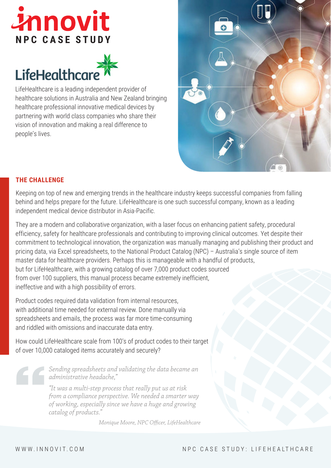# *Innovit* **NPC CASE STUDY**



LifeHealthcare is a leading independent provider of healthcare solutions in Australia and New Zealand bringing healthcare professional innovative medical devices by partnering with world class companies who share their vision of innovation and making a real difference to people's lives.



# **THE CHALLENGE**

Keeping on top of new and emerging trends in the healthcare industry keeps successful companies from falling behind and helps prepare for the future. LifeHealthcare is one such successful company, known as a leading independent medical device distributor in Asia-Pacific.

They are a modern and collaborative organization, with a laser focus on enhancing patient safety, procedural efficiency, safety for healthcare professionals and contributing to improving clinical outcomes. Yet despite their commitment to technological innovation, the organization was manually managing and publishing their product and pricing data, via Excel spreadsheets, to the National Product Catalog (NPC) – Australia's single source of item master data for healthcare providers. Perhaps this is manageable with a handful of products, but for LifeHealthcare, with a growing catalog of over 7,000 product codes sourced from over 100 suppliers, this manual process became extremely inefficient, ineffective and with a high possibility of errors.

Product codes required data validation from internal resources, with additional time needed for external review. Done manually via spreadsheets and emails, the process was far more time-consuming and riddled with omissions and inaccurate data entry.

How could LifeHealthcare scale from 100's of product codes to their target of over 10,000 cataloged items accurately and securely?

> *Sending spreadsheets and validating the data became an administrative headache,"*

> *"It was a multi-step process that really put us at risk from a compliance perspective. We needed a smarter way of working, especially since we have a huge and growing catalog of products."*

> > *Monique Moore, NPC Officer, LifeHealthcare*